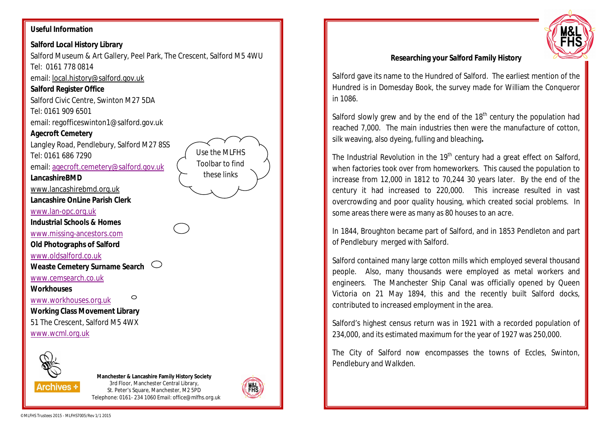## **Useful Information**

# **Salford Local History Library**

Salford Museum & Art Gallery, Peel Park, The Crescent, Salford M5 4WU Tel: 0161 778 0814

email: local.history@salford.gov.uk

#### **Salford Register Office**

Salford Civic Centre, Swinton M27 5DA

Tel: 0161 909 6501

email: regofficeswinton1@salford.gov.uk

### **Agecroft Cemetery**

Langley Road, Pendlebury, Salford M27 8SS Tel: 0161 686 7290

email: agecroft.cemetery@salford.gov.uk

**LancashireBMD**

www.lancashirebmd.org.uk

**Lancashire OnLine Parish Clerk**

www.lan-opc.org.uk

**Industrial Schools & Homes**

www.missing-ancestors.com

**Old Photographs of Salford**

www.oldsalford.co.uk

**Weaste Cemetery Surname Search**

www.cemsearch.co.uk

### **Workhouses**

www.workhouses.org.uk

**Working Class Movement Library** 51 The Crescent, Salford M5 4WX www.wcml.org.uk



**Archives \*** 

**Manchester & Lancashire Family History Society** 3rd Floor, Manchester Central Library, St. Peter's Square, Manchester, M2 5PD Telephone: 0161- 234 1060 Email: office@mlfhs.org.uk

◯



Use the MLFHS Toolbar to find these links



## **Researching your Salford Family History**

Salford gave its name to the Hundred of Salford. The earliest mention of the Hundred is in Domesday Book, the survey made for William the Conqueror in 1086.

Salford slowly grew and by the end of the  $18<sup>th</sup>$  century the population had reached 7,000. The main industries then were the manufacture of cotton, silk weaving, also dyeing, fulling and bleaching**.**

The Industrial Revolution in the  $19<sup>th</sup>$  century had a great effect on Salford, when factories took over from homeworkers. This caused the population to increase from 12,000 in 1812 to 70,244 30 years later. By the end of the century it had increased to 220,000. This increase resulted in vast overcrowding and poor quality housing, which created social problems. In some areas there were as many as 80 houses to an acre.

In 1844, Broughton became part of Salford, and in 1853 Pendleton and part of Pendlebury merged with Salford.

Salford contained many large cotton mills which employed several thousand people. Also, many thousands were employed as metal workers and engineers. The Manchester Ship Canal was officially opened by Queen Victoria on 21 May 1894, this and the recently built Salford docks, contributed to increased employment in the area.

Salford's highest census return was in 1921 with a recorded population of 234,000, and its estimated maximum for the year of 1927 was 250,000.

The City of Salford now encompasses the towns of Eccles, Swinton, Pendlebury and Walkden.